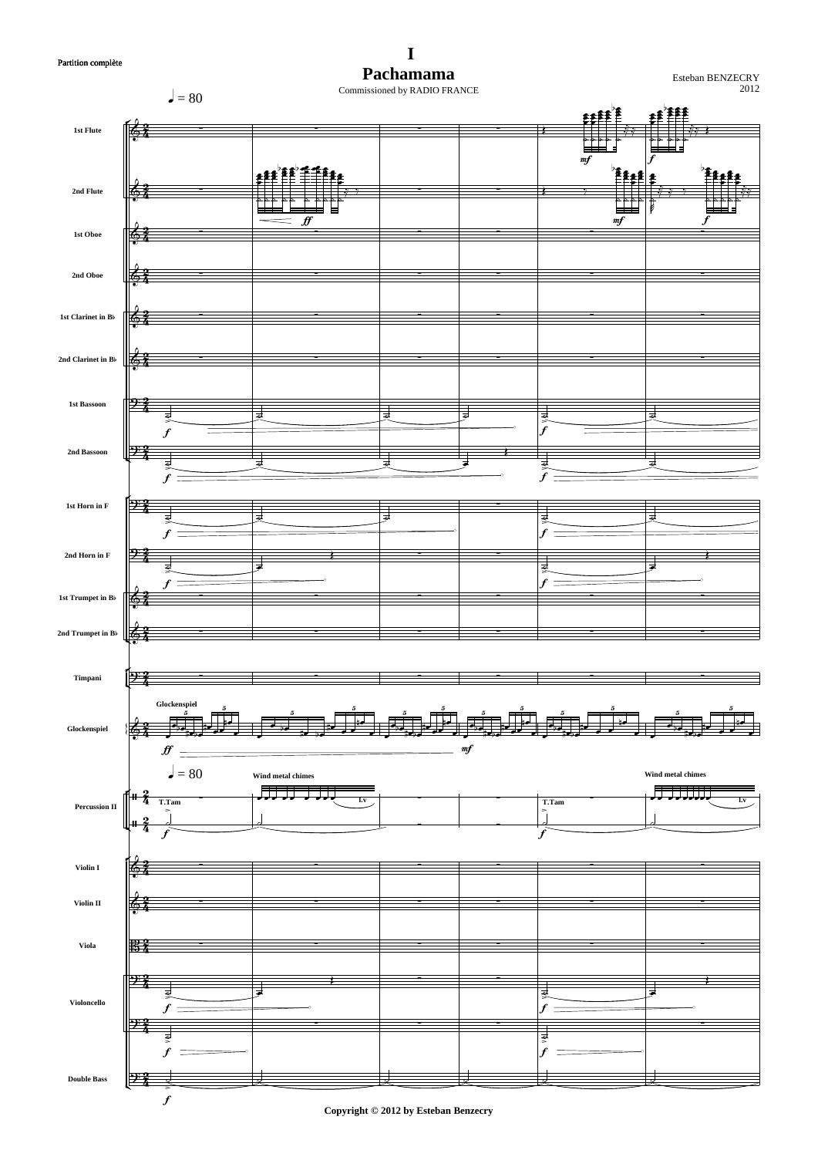



**Copyright © 2012 by Esteban Benzecry**

Esteban BENZECRY 2012

 **I Pachamama**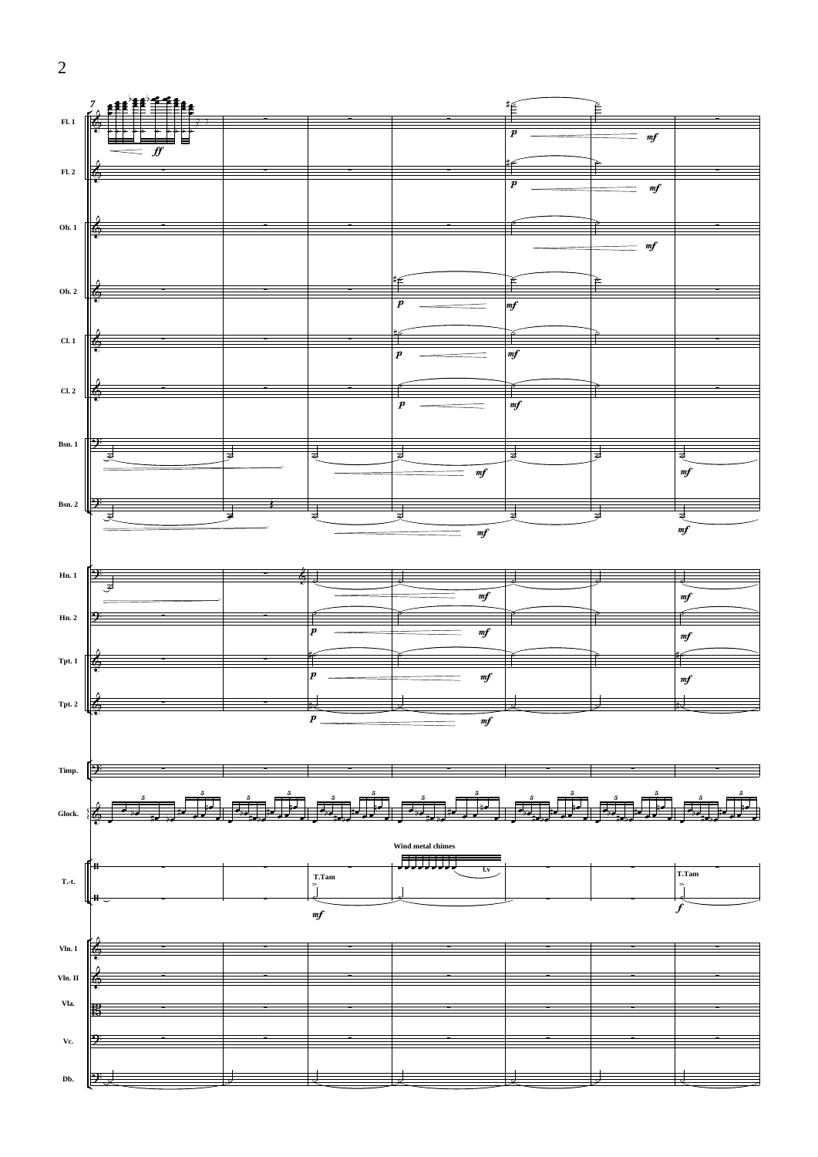